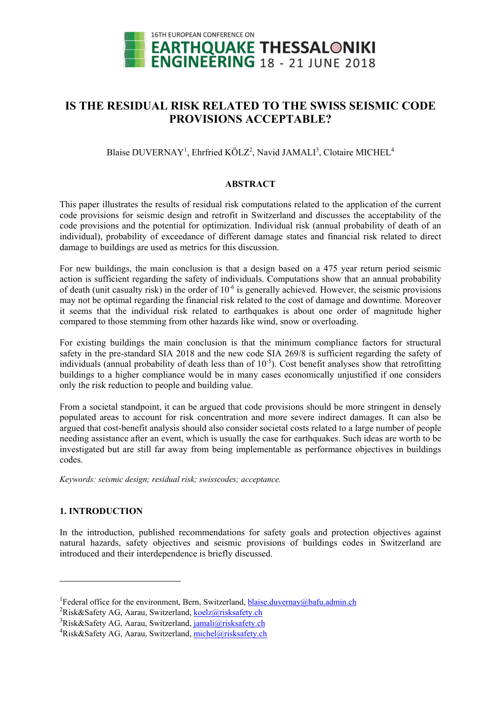

# **IS THE RESIDUAL RISK RELATED TO THE SWISS SEISMIC CODE PROVISIONS ACCEPTABLE?**

Blaise DUVERNAY<sup>1</sup>, Ehrfried KÖLZ<sup>2</sup>, Navid JAMALI<sup>3</sup>, Clotaire MICHEL<sup>4</sup>

# **ABSTRACT**

This paper illustrates the results of residual risk computations related to the application of the current code provisions for seismic design and retrofit in Switzerland and discusses the acceptability of the code provisions and the potential for optimization. Individual risk (annual probability of death of an individual), probability of exceedance of different damage states and financial risk related to direct damage to buildings are used as metrics for this discussion.

For new buildings, the main conclusion is that a design based on a 475 year return period seismic action is sufficient regarding the safety of individuals. Computations show that an annual probability of death (unit casualty risk) in the order of  $10^{-6}$  is generally achieved. However, the seismic provisions may not be optimal regarding the financial risk related to the cost of damage and downtime. Moreover it seems that the individual risk related to earthquakes is about one order of magnitude higher compared to those stemming from other hazards like wind, snow or overloading.

For existing buildings the main conclusion is that the minimum compliance factors for structural safety in the pre-standard SIA 2018 and the new code SIA 269/8 is sufficient regarding the safety of individuals (annual probability of death less than of  $10^{-5}$ ). Cost benefit analyses show that retrofitting buildings to a higher compliance would be in many cases economically unjustified if one considers only the risk reduction to people and building value.

From a societal standpoint, it can be argued that code provisions should be more stringent in densely populated areas to account for risk concentration and more severe indirect damages. It can also be argued that cost-benefit analysis should also consider societal costs related to a large number of people needing assistance after an event, which is usually the case for earthquakes. Such ideas are worth to be investigated but are still far away from being implementable as performance objectives in buildings codes.

*Keywords: seismic design; residual risk; swisscodes; acceptance.* 

# **1. INTRODUCTION**

1

In the introduction, published recommendations for safety goals and protection objectives against natural hazards, safety objectives and seismic provisions of buildings codes in Switzerland are introduced and their interdependence is briefly discussed.

<sup>&</sup>lt;sup>1</sup> Federal office for the environment, Bern, Switzerland, blaise.duvernay@bafu.admin.ch <sup>2</sup> Bick & Sofoty, A.G., Agrey, Switzerland, koolz@rickcofoty.ch

<sup>&</sup>lt;sup>2</sup>Risk&Safety AG, Aarau, Switzerland, koelz@risksafety.ch

<sup>&</sup>lt;sup>3</sup>Risk&Safety AG, Aarau, Switzerland, jamali@risksafety.ch

<sup>&</sup>lt;sup>4</sup>Risk&Safety AG, Aarau, Switzerland, *michel@risksafety.ch*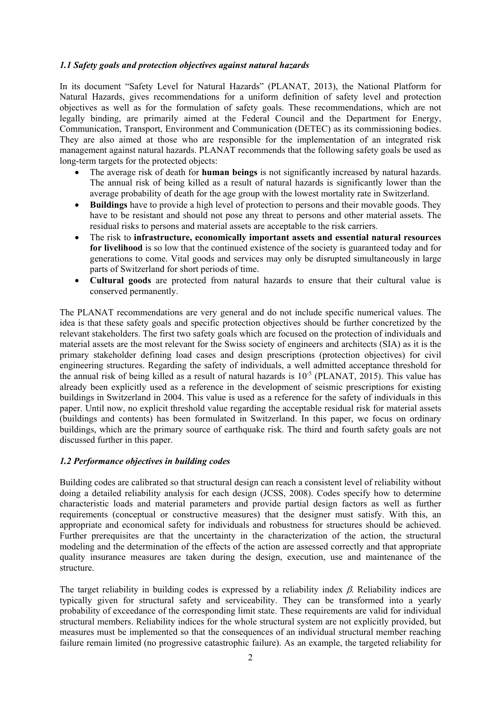# *1.1 Safety goals and protection objectives against natural hazards*

In its document "Safety Level for Natural Hazards" (PLANAT, 2013), the National Platform for Natural Hazards, gives recommendations for a uniform definition of safety level and protection objectives as well as for the formulation of safety goals. These recommendations, which are not legally binding, are primarily aimed at the Federal Council and the Department for Energy, Communication, Transport, Environment and Communication (DETEC) as its commissioning bodies. They are also aimed at those who are responsible for the implementation of an integrated risk management against natural hazards. PLANAT recommends that the following safety goals be used as long-term targets for the protected objects:

- The average risk of death for **human beings** is not significantly increased by natural hazards. The annual risk of being killed as a result of natural hazards is significantly lower than the average probability of death for the age group with the lowest mortality rate in Switzerland.
- Buildings have to provide a high level of protection to persons and their movable goods. They have to be resistant and should not pose any threat to persons and other material assets. The residual risks to persons and material assets are acceptable to the risk carriers.
- The risk to **infrastructure, economically important assets and essential natural resources for livelihood** is so low that the continued existence of the society is guaranteed today and for generations to come. Vital goods and services may only be disrupted simultaneously in large parts of Switzerland for short periods of time.
- **Cultural goods** are protected from natural hazards to ensure that their cultural value is conserved permanently.

The PLANAT recommendations are very general and do not include specific numerical values. The idea is that these safety goals and specific protection objectives should be further concretized by the relevant stakeholders. The first two safety goals which are focused on the protection of individuals and material assets are the most relevant for the Swiss society of engineers and architects (SIA) as it is the primary stakeholder defining load cases and design prescriptions (protection objectives) for civil engineering structures. Regarding the safety of individuals, a well admitted acceptance threshold for the annual risk of being killed as a result of natural hazards is  $10^{-5}$  (PLANAT, 2015). This value has already been explicitly used as a reference in the development of seismic prescriptions for existing buildings in Switzerland in 2004. This value is used as a reference for the safety of individuals in this paper. Until now, no explicit threshold value regarding the acceptable residual risk for material assets (buildings and contents) has been formulated in Switzerland. In this paper, we focus on ordinary buildings, which are the primary source of earthquake risk. The third and fourth safety goals are not discussed further in this paper.

# *1.2 Performance objectives in building codes*

Building codes are calibrated so that structural design can reach a consistent level of reliability without doing a detailed reliability analysis for each design (JCSS, 2008). Codes specify how to determine characteristic loads and material parameters and provide partial design factors as well as further requirements (conceptual or constructive measures) that the designer must satisfy. With this, an appropriate and economical safety for individuals and robustness for structures should be achieved. Further prerequisites are that the uncertainty in the characterization of the action, the structural modeling and the determination of the effects of the action are assessed correctly and that appropriate quality insurance measures are taken during the design, execution, use and maintenance of the structure.

The target reliability in building codes is expressed by a reliability index  $\beta$ . Reliability indices are typically given for structural safety and serviceability. They can be transformed into a yearly probability of exceedance of the corresponding limit state. These requirements are valid for individual structural members. Reliability indices for the whole structural system are not explicitly provided, but measures must be implemented so that the consequences of an individual structural member reaching failure remain limited (no progressive catastrophic failure). As an example, the targeted reliability for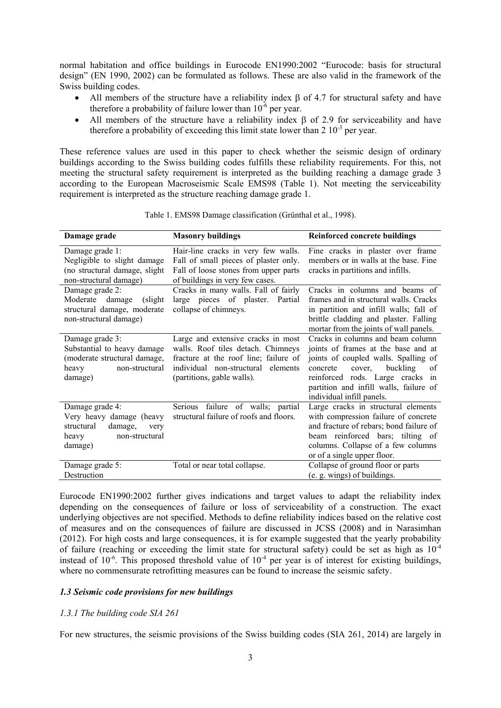normal habitation and office buildings in Eurocode EN1990:2002 "Eurocode: basis for structural design" (EN 1990, 2002) can be formulated as follows. These are also valid in the framework of the Swiss building codes.

- All members of the structure have a reliability index  $\beta$  of 4.7 for structural safety and have therefore a probability of failure lower than  $10^{-6}$  per year.
- All members of the structure have a reliability index  $\beta$  of 2.9 for serviceability and have therefore a probability of exceeding this limit state lower than  $2 \times 10^{-3}$  per year.

These reference values are used in this paper to check whether the seismic design of ordinary buildings according to the Swiss building codes fulfills these reliability requirements. For this, not meeting the structural safety requirement is interpreted as the building reaching a damage grade 3 according to the European Macroseismic Scale EMS98 (Table 1). Not meeting the serviceability requirement is interpreted as the structure reaching damage grade 1.

| Damage grade                                                                                                         | <b>Masonry buildings</b>                                                                                                                                                              | <b>Reinforced concrete buildings</b>                                                                                                                                                                                                                                |
|----------------------------------------------------------------------------------------------------------------------|---------------------------------------------------------------------------------------------------------------------------------------------------------------------------------------|---------------------------------------------------------------------------------------------------------------------------------------------------------------------------------------------------------------------------------------------------------------------|
| Damage grade 1:<br>Negligible to slight damage<br>(no structural damage, slight)<br>non-structural damage)           | Hair-line cracks in very few walls.<br>Fall of small pieces of plaster only.<br>Fall of loose stones from upper parts<br>of buildings in very few cases.                              | Fine cracks in plaster over frame<br>members or in walls at the base. Fine<br>cracks in partitions and infills.                                                                                                                                                     |
| Damage grade 2:<br>Moderate damage<br>(slight)<br>structural damage, moderate<br>non-structural damage)              | Cracks in many walls. Fall of fairly<br>large pieces of plaster. Partial<br>collapse of chimneys.                                                                                     | Cracks in columns and beams of<br>frames and in structural walls. Cracks<br>in partition and infill walls; fall of<br>brittle cladding and plaster. Falling<br>mortar from the joints of wall panels.                                                               |
| Damage grade 3:<br>Substantial to heavy damage<br>(moderate structural damage,<br>non-structural<br>heavy<br>damage) | Large and extensive cracks in most<br>walls. Roof tiles detach. Chimneys<br>fracture at the roof line; failure of<br>individual non-structural elements<br>(partitions, gable walls). | Cracks in columns and beam column<br>joints of frames at the base and at<br>joints of coupled walls. Spalling of<br>buckling<br>cover,<br>concrete<br>of<br>reinforced rods. Large cracks in<br>partition and infill walls, failure of<br>individual infill panels. |
| Damage grade 4:<br>Very heavy damage (heavy<br>structural<br>damage,<br>very<br>non-structural<br>heavy<br>damage)   | Serious<br>failure of walls; partial<br>structural failure of roofs and floors.                                                                                                       | Large cracks in structural elements<br>with compression failure of concrete<br>and fracture of rebars; bond failure of<br>beam reinforced bars; tilting of<br>columns. Collapse of a few columns<br>or of a single upper floor.                                     |
| Damage grade 5:<br>Destruction                                                                                       | Total or near total collapse.                                                                                                                                                         | Collapse of ground floor or parts<br>(e. g. wings) of buildings.                                                                                                                                                                                                    |

Table 1. EMS98 Damage classification (Grünthal et al., 1998).

Eurocode EN1990:2002 further gives indications and target values to adapt the reliability index depending on the consequences of failure or loss of serviceability of a construction. The exact underlying objectives are not specified. Methods to define reliability indices based on the relative cost of measures and on the consequences of failure are discussed in JCSS (2008) and in Narasimhan (2012). For high costs and large consequences, it is for example suggested that the yearly probability of failure (reaching or exceeding the limit state for structural safety) could be set as high as  $10^{-4}$ instead of  $10^{-6}$ . This proposed threshold value of  $10^{-4}$  per year is of interest for existing buildings, where no commensurate retrofitting measures can be found to increase the seismic safety.

# *1.3 Seismic code provisions for new buildings*

# *1.3.1 The building code SIA 261*

For new structures, the seismic provisions of the Swiss building codes (SIA 261, 2014) are largely in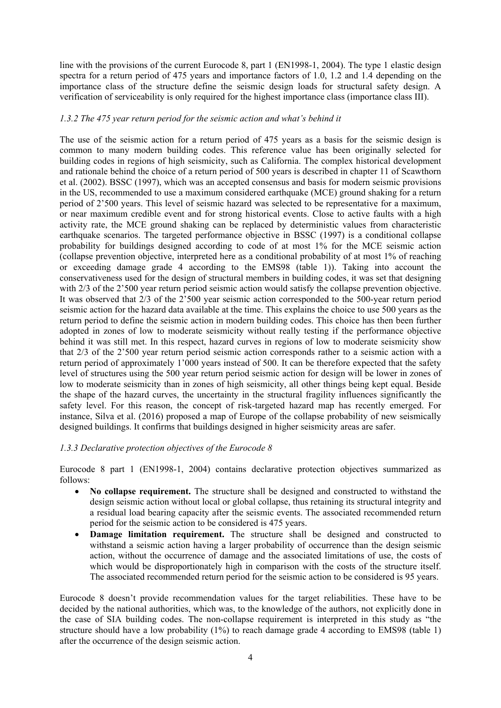line with the provisions of the current Eurocode 8, part 1 (EN1998-1, 2004). The type 1 elastic design spectra for a return period of 475 years and importance factors of 1.0, 1.2 and 1.4 depending on the importance class of the structure define the seismic design loads for structural safety design. A verification of serviceability is only required for the highest importance class (importance class III).

# *1.3.2 The 475 year return period for the seismic action and what's behind it*

The use of the seismic action for a return period of 475 years as a basis for the seismic design is common to many modern building codes. This reference value has been originally selected for building codes in regions of high seismicity, such as California. The complex historical development and rationale behind the choice of a return period of 500 years is described in chapter 11 of Scawthorn et al. (2002). BSSC (1997), which was an accepted consensus and basis for modern seismic provisions in the US, recommended to use a maximum considered earthquake (MCE) ground shaking for a return period of 2'500 years. This level of seismic hazard was selected to be representative for a maximum, or near maximum credible event and for strong historical events. Close to active faults with a high activity rate, the MCE ground shaking can be replaced by deterministic values from characteristic earthquake scenarios. The targeted performance objective in BSSC (1997) is a conditional collapse probability for buildings designed according to code of at most 1% for the MCE seismic action (collapse prevention objective, interpreted here as a conditional probability of at most 1% of reaching or exceeding damage grade 4 according to the EMS98 (table 1)). Taking into account the conservativeness used for the design of structural members in building codes, it was set that designing with 2/3 of the 2'500 year return period seismic action would satisfy the collapse prevention objective. It was observed that 2/3 of the 2'500 year seismic action corresponded to the 500-year return period seismic action for the hazard data available at the time. This explains the choice to use 500 years as the return period to define the seismic action in modern building codes. This choice has then been further adopted in zones of low to moderate seismicity without really testing if the performance objective behind it was still met. In this respect, hazard curves in regions of low to moderate seismicity show that 2/3 of the 2'500 year return period seismic action corresponds rather to a seismic action with a return period of approximately 1'000 years instead of 500. It can be therefore expected that the safety level of structures using the 500 year return period seismic action for design will be lower in zones of low to moderate seismicity than in zones of high seismicity, all other things being kept equal. Beside the shape of the hazard curves, the uncertainty in the structural fragility influences significantly the safety level. For this reason, the concept of risk-targeted hazard map has recently emerged. For instance, Silva et al. (2016) proposed a map of Europe of the collapse probability of new seismically designed buildings. It confirms that buildings designed in higher seismicity areas are safer.

# *1.3.3 Declarative protection objectives of the Eurocode 8*

Eurocode 8 part 1 (EN1998-1, 2004) contains declarative protection objectives summarized as follows:

- No collapse requirement. The structure shall be designed and constructed to withstand the design seismic action without local or global collapse, thus retaining its structural integrity and a residual load bearing capacity after the seismic events. The associated recommended return period for the seismic action to be considered is 475 years.
- **Damage limitation requirement.** The structure shall be designed and constructed to withstand a seismic action having a larger probability of occurrence than the design seismic action, without the occurrence of damage and the associated limitations of use, the costs of which would be disproportionately high in comparison with the costs of the structure itself. The associated recommended return period for the seismic action to be considered is 95 years.

Eurocode 8 doesn't provide recommendation values for the target reliabilities. These have to be decided by the national authorities, which was, to the knowledge of the authors, not explicitly done in the case of SIA building codes. The non-collapse requirement is interpreted in this study as "the structure should have a low probability  $(1%)$  to reach damage grade 4 according to EMS98 (table 1) after the occurrence of the design seismic action.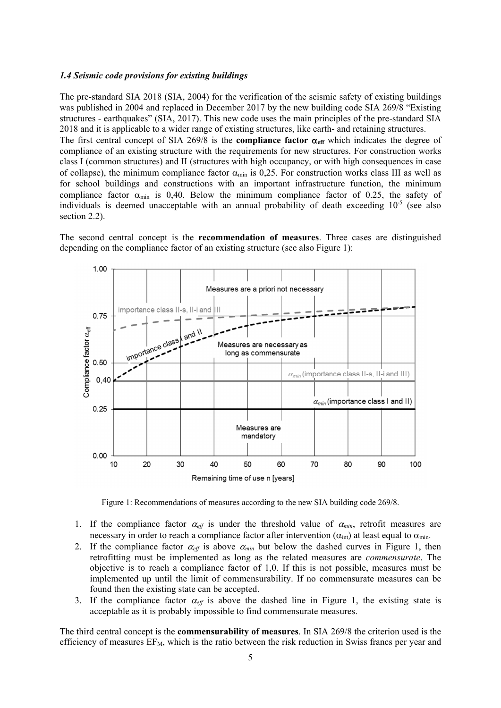#### *1.4 Seismic code provisions for existing buildings*

The pre-standard SIA 2018 (SIA, 2004) for the verification of the seismic safety of existing buildings was published in 2004 and replaced in December 2017 by the new building code SIA 269/8 "Existing structures - earthquakes" (SIA, 2017). This new code uses the main principles of the pre-standard SIA 2018 and it is applicable to a wider range of existing structures, like earth- and retaining structures.

The first central concept of SIA 269/8 is the **compliance factor**  $\alpha_{\text{eff}}$  which indicates the degree of compliance of an existing structure with the requirements for new structures. For construction works class I (common structures) and II (structures with high occupancy, or with high consequences in case of collapse), the minimum compliance factor  $\alpha_{min}$  is 0,25. For construction works class III as well as for school buildings and constructions with an important infrastructure function, the minimum compliance factor  $\alpha_{min}$  is 0,40. Below the minimum compliance factor of 0.25, the safety of individuals is deemed unacceptable with an annual probability of death exceeding  $10^{-5}$  (see also section 2.2).

The second central concept is the **recommendation of measures**. Three cases are distinguished depending on the compliance factor of an existing structure (see also Figure 1):



Figure 1: Recommendations of measures according to the new SIA building code 269/8.

- 1. If the compliance factor  $\alpha_{\text{eff}}$  is under the threshold value of  $\alpha_{\text{min}}$ , retrofit measures are necessary in order to reach a compliance factor after intervention  $(\alpha_{int})$  at least equal to  $\alpha_{min}$ .
- 2. If the compliance factor  $\alpha_{\text{eff}}$  is above  $\alpha_{\text{min}}$  but below the dashed curves in Figure 1, then retrofitting must be implemented as long as the related measures are *commensurate*. The objective is to reach a compliance factor of 1,0. If this is not possible, measures must be implemented up until the limit of commensurability. If no commensurate measures can be found then the existing state can be accepted.
- 3. If the compliance factor  $\alpha_{\text{eff}}$  is above the dashed line in Figure 1, the existing state is acceptable as it is probably impossible to find commensurate measures.

The third central concept is the **commensurability of measures**. In SIA 269/8 the criterion used is the efficiency of measures  $EF_M$ , which is the ratio between the risk reduction in Swiss francs per year and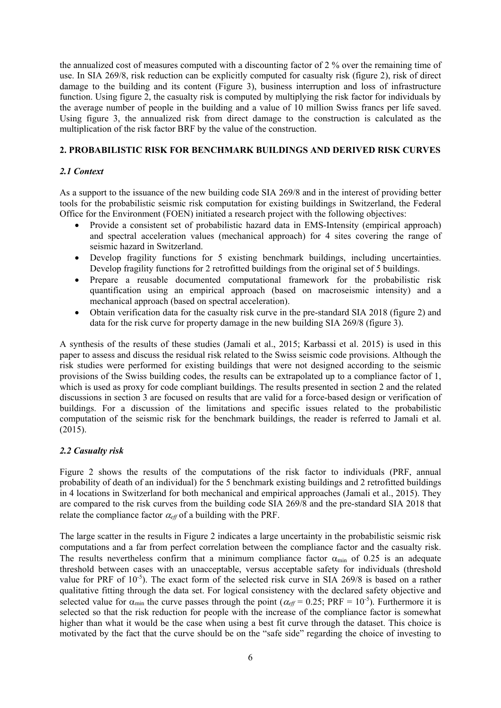the annualized cost of measures computed with a discounting factor of 2 % over the remaining time of use. In SIA 269/8, risk reduction can be explicitly computed for casualty risk (figure 2), risk of direct damage to the building and its content (Figure 3), business interruption and loss of infrastructure function. Using figure 2, the casualty risk is computed by multiplying the risk factor for individuals by the average number of people in the building and a value of 10 million Swiss francs per life saved. Using figure 3, the annualized risk from direct damage to the construction is calculated as the multiplication of the risk factor BRF by the value of the construction.

# **2. PROBABILISTIC RISK FOR BENCHMARK BUILDINGS AND DERIVED RISK CURVES**

### *2.1 Context*

As a support to the issuance of the new building code SIA 269/8 and in the interest of providing better tools for the probabilistic seismic risk computation for existing buildings in Switzerland, the Federal Office for the Environment (FOEN) initiated a research project with the following objectives:

- Provide a consistent set of probabilistic hazard data in EMS-Intensity (empirical approach) and spectral acceleration values (mechanical approach) for 4 sites covering the range of seismic hazard in Switzerland.
- Develop fragility functions for 5 existing benchmark buildings, including uncertainties. Develop fragility functions for 2 retrofitted buildings from the original set of 5 buildings.
- Prepare a reusable documented computational framework for the probabilistic risk quantification using an empirical approach (based on macroseismic intensity) and a mechanical approach (based on spectral acceleration).
- Obtain verification data for the casualty risk curve in the pre-standard SIA 2018 (figure 2) and data for the risk curve for property damage in the new building SIA 269/8 (figure 3).

A synthesis of the results of these studies (Jamali et al., 2015; Karbassi et al. 2015) is used in this paper to assess and discuss the residual risk related to the Swiss seismic code provisions. Although the risk studies were performed for existing buildings that were not designed according to the seismic provisions of the Swiss building codes, the results can be extrapolated up to a compliance factor of 1, which is used as proxy for code compliant buildings. The results presented in section 2 and the related discussions in section 3 are focused on results that are valid for a force-based design or verification of buildings. For a discussion of the limitations and specific issues related to the probabilistic computation of the seismic risk for the benchmark buildings, the reader is referred to Jamali et al. (2015).

#### *2.2 Casualty risk*

Figure 2 shows the results of the computations of the risk factor to individuals (PRF, annual probability of death of an individual) for the 5 benchmark existing buildings and 2 retrofitted buildings in 4 locations in Switzerland for both mechanical and empirical approaches (Jamali et al., 2015). They are compared to the risk curves from the building code SIA 269/8 and the pre-standard SIA 2018 that relate the compliance factor  $\alpha_{\text{eff}}$  of a building with the PRF.

The large scatter in the results in Figure 2 indicates a large uncertainty in the probabilistic seismic risk computations and a far from perfect correlation between the compliance factor and the casualty risk. The results nevertheless confirm that a minimum compliance factor  $\alpha_{\min}$  of 0.25 is an adequate threshold between cases with an unacceptable, versus acceptable safety for individuals (threshold value for PRF of  $10^{-5}$ ). The exact form of the selected risk curve in SIA 269/8 is based on a rather qualitative fitting through the data set. For logical consistency with the declared safety objective and selected value for  $\alpha_{min}$  the curve passes through the point ( $\alpha_{eff}$  = 0.25; PRF = 10<sup>-5</sup>). Furthermore it is selected so that the risk reduction for people with the increase of the compliance factor is somewhat higher than what it would be the case when using a best fit curve through the dataset. This choice is motivated by the fact that the curve should be on the "safe side" regarding the choice of investing to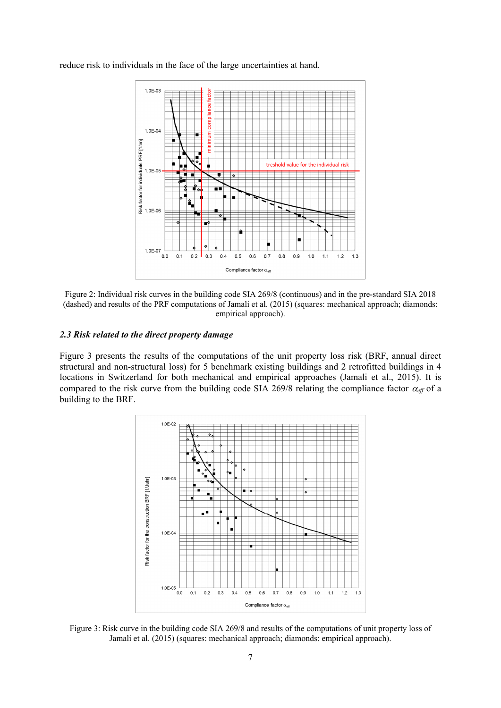reduce risk to individuals in the face of the large uncertainties at hand.





### *2.3 Risk related to the direct property damage*

Figure 3 presents the results of the computations of the unit property loss risk (BRF, annual direct structural and non-structural loss) for 5 benchmark existing buildings and 2 retrofitted buildings in 4 locations in Switzerland for both mechanical and empirical approaches (Jamali et al., 2015). It is compared to the risk curve from the building code SIA 269/8 relating the compliance factor  $\alpha_{\text{eff}}$  of a building to the BRF.



Figure 3: Risk curve in the building code SIA 269/8 and results of the computations of unit property loss of Jamali et al. (2015) (squares: mechanical approach; diamonds: empirical approach).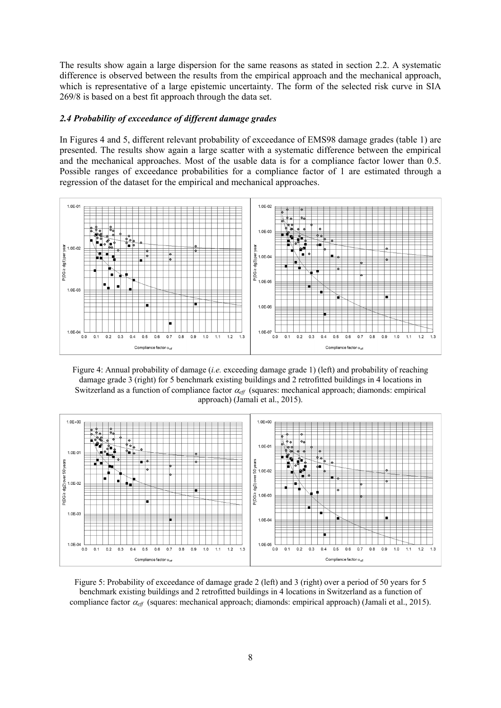The results show again a large dispersion for the same reasons as stated in section 2.2. A systematic difference is observed between the results from the empirical approach and the mechanical approach, which is representative of a large epistemic uncertainty. The form of the selected risk curve in SIA 269/8 is based on a best fit approach through the data set.

#### *2.4 Probability of exceedance of different damage grades*

In Figures 4 and 5, different relevant probability of exceedance of EMS98 damage grades (table 1) are presented. The results show again a large scatter with a systematic difference between the empirical and the mechanical approaches. Most of the usable data is for a compliance factor lower than 0.5. Possible ranges of exceedance probabilities for a compliance factor of 1 are estimated through a regression of the dataset for the empirical and mechanical approaches.



Figure 4: Annual probability of damage (*i.e.* exceeding damage grade 1) (left) and probability of reaching damage grade 3 (right) for 5 benchmark existing buildings and 2 retrofitted buildings in 4 locations in Switzerland as a function of compliance factor  $\alpha_{\text{eff}}$  (squares: mechanical approach; diamonds: empirical approach) (Jamali et al., 2015).



Figure 5: Probability of exceedance of damage grade 2 (left) and 3 (right) over a period of 50 years for 5 benchmark existing buildings and 2 retrofitted buildings in 4 locations in Switzerland as a function of compliance factor *eff* (squares: mechanical approach; diamonds: empirical approach) (Jamali et al., 2015).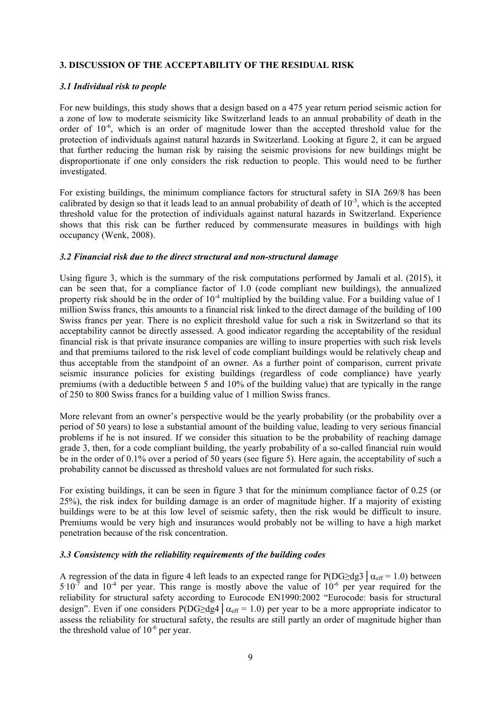# **3. DISCUSSION OF THE ACCEPTABILITY OF THE RESIDUAL RISK**

### *3.1 Individual risk to people*

For new buildings, this study shows that a design based on a 475 year return period seismic action for a zone of low to moderate seismicity like Switzerland leads to an annual probability of death in the order of  $10^{-6}$ , which is an order of magnitude lower than the accepted threshold value for the protection of individuals against natural hazards in Switzerland. Looking at figure 2, it can be argued that further reducing the human risk by raising the seismic provisions for new buildings might be disproportionate if one only considers the risk reduction to people. This would need to be further investigated.

For existing buildings, the minimum compliance factors for structural safety in SIA 269/8 has been calibrated by design so that it leads lead to an annual probability of death of  $10^{-5}$ , which is the accepted threshold value for the protection of individuals against natural hazards in Switzerland. Experience shows that this risk can be further reduced by commensurate measures in buildings with high occupancy (Wenk, 2008).

# *3.2 Financial risk due to the direct structural and non-structural damage*

Using figure 3, which is the summary of the risk computations performed by Jamali et al. (2015), it can be seen that, for a compliance factor of 1.0 (code compliant new buildings), the annualized property risk should be in the order of  $10^{-4}$  multiplied by the building value. For a building value of 1 million Swiss francs, this amounts to a financial risk linked to the direct damage of the building of 100 Swiss francs per year. There is no explicit threshold value for such a risk in Switzerland so that its acceptability cannot be directly assessed. A good indicator regarding the acceptability of the residual financial risk is that private insurance companies are willing to insure properties with such risk levels and that premiums tailored to the risk level of code compliant buildings would be relatively cheap and thus acceptable from the standpoint of an owner. As a further point of comparison, current private seismic insurance policies for existing buildings (regardless of code compliance) have yearly premiums (with a deductible between 5 and 10% of the building value) that are typically in the range of 250 to 800 Swiss francs for a building value of 1 million Swiss francs.

More relevant from an owner's perspective would be the yearly probability (or the probability over a period of 50 years) to lose a substantial amount of the building value, leading to very serious financial problems if he is not insured. If we consider this situation to be the probability of reaching damage grade 3, then, for a code compliant building, the yearly probability of a so-called financial ruin would be in the order of 0.1% over a period of 50 years (see figure 5). Here again, the acceptability of such a probability cannot be discussed as threshold values are not formulated for such risks.

For existing buildings, it can be seen in figure 3 that for the minimum compliance factor of 0.25 (or 25%), the risk index for building damage is an order of magnitude higher. If a majority of existing buildings were to be at this low level of seismic safety, then the risk would be difficult to insure. Premiums would be very high and insurances would probably not be willing to have a high market penetration because of the risk concentration.

# *3.3 Consistency with the reliability requirements of the building codes*

A regression of the data in figure 4 left leads to an expected range for P(DG>dg3  $\alpha_{\text{eff}} = 1.0$ ) between  $5.10^{-7}$  and  $10^{-4}$  per year. This range is mostly above the value of  $10^{-6}$  per year required for the reliability for structural safety according to Eurocode EN1990:2002 "Eurocode: basis for structural design". Even if one considers P(DG≥dg4  $\alpha_{\text{eff}}$  = 1.0) per year to be a more appropriate indicator to assess the reliability for structural safety, the results are still partly an order of magnitude higher than the threshold value of  $10^{-6}$  per year.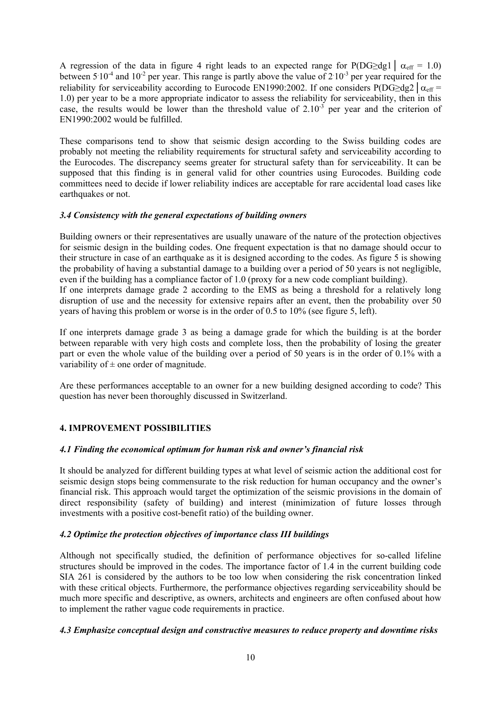A regression of the data in figure 4 right leads to an expected range for P(DG $\geq$ dg1 |  $\alpha_{\text{eff}}$  = 1.0) between  $5.10^{-4}$  and  $10^{-2}$  per year. This range is partly above the value of  $2.10^{-3}$  per year required for the reliability for serviceability according to Eurocode EN1990:2002. If one considers P(DG≥dg2  $\alpha_{\text{eff}}$  = 1.0) per year to be a more appropriate indicator to assess the reliability for serviceability, then in this case, the results would be lower than the threshold value of  $2.10^{-3}$  per year and the criterion of EN1990:2002 would be fulfilled.

These comparisons tend to show that seismic design according to the Swiss building codes are probably not meeting the reliability requirements for structural safety and serviceability according to the Eurocodes. The discrepancy seems greater for structural safety than for serviceability. It can be supposed that this finding is in general valid for other countries using Eurocodes. Building code committees need to decide if lower reliability indices are acceptable for rare accidental load cases like earthquakes or not.

# *3.4 Consistency with the general expectations of building owners*

Building owners or their representatives are usually unaware of the nature of the protection objectives for seismic design in the building codes. One frequent expectation is that no damage should occur to their structure in case of an earthquake as it is designed according to the codes. As figure 5 is showing the probability of having a substantial damage to a building over a period of 50 years is not negligible, even if the building has a compliance factor of 1.0 (proxy for a new code compliant building). If one interprets damage grade 2 according to the EMS as being a threshold for a relatively long disruption of use and the necessity for extensive repairs after an event, then the probability over 50 years of having this problem or worse is in the order of 0.5 to  $10\%$  (see figure 5, left).

If one interprets damage grade 3 as being a damage grade for which the building is at the border between reparable with very high costs and complete loss, then the probability of losing the greater part or even the whole value of the building over a period of 50 years is in the order of 0.1% with a variability of  $\pm$  one order of magnitude.

Are these performances acceptable to an owner for a new building designed according to code? This question has never been thoroughly discussed in Switzerland.

# **4. IMPROVEMENT POSSIBILITIES**

# *4.1 Finding the economical optimum for human risk and owner's financial risk*

It should be analyzed for different building types at what level of seismic action the additional cost for seismic design stops being commensurate to the risk reduction for human occupancy and the owner's financial risk. This approach would target the optimization of the seismic provisions in the domain of direct responsibility (safety of building) and interest (minimization of future losses through investments with a positive cost-benefit ratio) of the building owner.

# *4.2 Optimize the protection objectives of importance class III buildings*

Although not specifically studied, the definition of performance objectives for so-called lifeline structures should be improved in the codes. The importance factor of 1.4 in the current building code SIA 261 is considered by the authors to be too low when considering the risk concentration linked with these critical objects. Furthermore, the performance objectives regarding serviceability should be much more specific and descriptive, as owners, architects and engineers are often confused about how to implement the rather vague code requirements in practice.

# *4.3 Emphasize conceptual design and constructive measures to reduce property and downtime risks*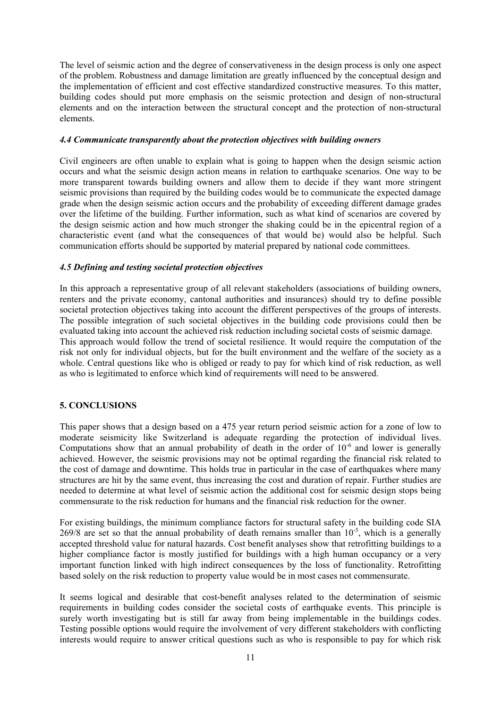The level of seismic action and the degree of conservativeness in the design process is only one aspect of the problem. Robustness and damage limitation are greatly influenced by the conceptual design and the implementation of efficient and cost effective standardized constructive measures. To this matter, building codes should put more emphasis on the seismic protection and design of non-structural elements and on the interaction between the structural concept and the protection of non-structural elements.

#### *4.4 Communicate transparently about the protection objectives with building owners*

Civil engineers are often unable to explain what is going to happen when the design seismic action occurs and what the seismic design action means in relation to earthquake scenarios. One way to be more transparent towards building owners and allow them to decide if they want more stringent seismic provisions than required by the building codes would be to communicate the expected damage grade when the design seismic action occurs and the probability of exceeding different damage grades over the lifetime of the building. Further information, such as what kind of scenarios are covered by the design seismic action and how much stronger the shaking could be in the epicentral region of a characteristic event (and what the consequences of that would be) would also be helpful. Such communication efforts should be supported by material prepared by national code committees.

# *4.5 Defining and testing societal protection objectives*

In this approach a representative group of all relevant stakeholders (associations of building owners, renters and the private economy, cantonal authorities and insurances) should try to define possible societal protection objectives taking into account the different perspectives of the groups of interests. The possible integration of such societal objectives in the building code provisions could then be evaluated taking into account the achieved risk reduction including societal costs of seismic damage. This approach would follow the trend of societal resilience. It would require the computation of the risk not only for individual objects, but for the built environment and the welfare of the society as a whole. Central questions like who is obliged or ready to pay for which kind of risk reduction, as well as who is legitimated to enforce which kind of requirements will need to be answered.

# **5. CONCLUSIONS**

This paper shows that a design based on a 475 year return period seismic action for a zone of low to moderate seismicity like Switzerland is adequate regarding the protection of individual lives. Computations show that an annual probability of death in the order of  $10^{-6}$  and lower is generally achieved. However, the seismic provisions may not be optimal regarding the financial risk related to the cost of damage and downtime. This holds true in particular in the case of earthquakes where many structures are hit by the same event, thus increasing the cost and duration of repair. Further studies are needed to determine at what level of seismic action the additional cost for seismic design stops being commensurate to the risk reduction for humans and the financial risk reduction for the owner.

For existing buildings, the minimum compliance factors for structural safety in the building code SIA  $269/8$  are set so that the annual probability of death remains smaller than  $10^{-5}$ , which is a generally accepted threshold value for natural hazards. Cost benefit analyses show that retrofitting buildings to a higher compliance factor is mostly justified for buildings with a high human occupancy or a very important function linked with high indirect consequences by the loss of functionality. Retrofitting based solely on the risk reduction to property value would be in most cases not commensurate.

It seems logical and desirable that cost-benefit analyses related to the determination of seismic requirements in building codes consider the societal costs of earthquake events. This principle is surely worth investigating but is still far away from being implementable in the buildings codes. Testing possible options would require the involvement of very different stakeholders with conflicting interests would require to answer critical questions such as who is responsible to pay for which risk